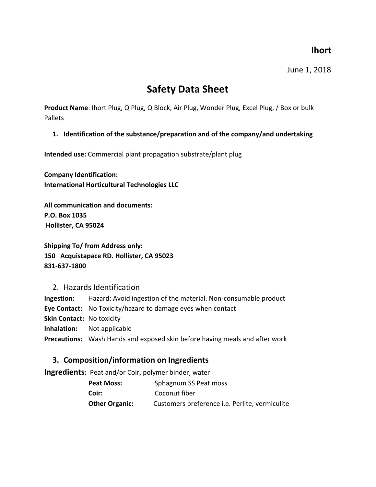### **Ihort**

June 1, 2018

# **Safety Data Sheet**

**Product Name**: Ihort Plug, Q Plug, Q Block, Air Plug, Wonder Plug, Excel Plug, / Box or bulk Pallets

#### **1. Identification of the substance/preparation and of the company/and undertaking**

**Intended use:** Commercial plant propagation substrate/plant plug

**Company Identification: International Horticultural Technologies LLC**

**All communication and documents: P.O. Box 1035 Hollister, CA 95024**

**Shipping To/ from Address only: 150 Acquistapace RD. Hollister, CA 95023 831-637-1800**

2. Hazards Identification

**Ingestion:** Hazard: Avoid ingestion of the material. Non-consumable product **Eye Contact:** No Toxicity/hazard to damage eyes when contact **Skin Contact:** No toxicity **Inhalation:** Not applicable **Precautions:** Wash Hands and exposed skin before having meals and after work

#### **3. Composition/information on Ingredients**

**Ingredients:** Peat and/or Coir, polymer binder, water

| Peat Moss:            | Sphagnum SS Peat moss                                 |
|-----------------------|-------------------------------------------------------|
| Coir:                 | Coconut fiber                                         |
| <b>Other Organic:</b> | Customers preference <i>i.e.</i> Perlite, vermiculite |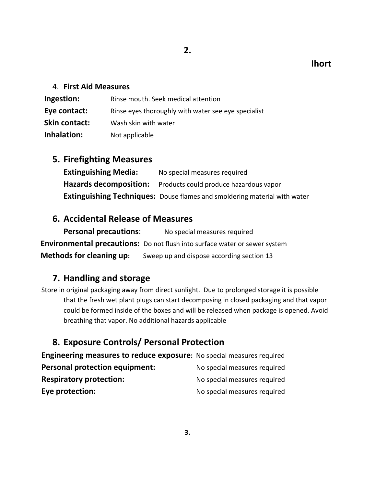### **Ihort**

#### 4. **First Aid Measures**

| Ingestion:           | Rinse mouth. Seek medical attention                 |
|----------------------|-----------------------------------------------------|
| Eye contact:         | Rinse eyes thoroughly with water see eye specialist |
| <b>Skin contact:</b> | Wash skin with water                                |
| Inhalation:          | Not applicable                                      |

#### **5. Firefighting Measures**

**Extinguishing Media:** No special measures required **Hazards decomposition:** Products could produce hazardous vapor **Extinguishing Techniques:** Douse flames and smoldering material with water

### **6. Accidental Release of Measures**

**Personal precautions**: No special measures required **Environmental precautions:** Do not flush into surface water or sewer system **Methods for cleaning up:** Sweep up and dispose according section 13

# **7. Handling and storage**

Store in original packaging away from direct sunlight. Due to prolonged storage it is possible that the fresh wet plant plugs can start decomposing in closed packaging and that vapor could be formed inside of the boxes and will be released when package is opened. Avoid breathing that vapor. No additional hazards applicable

# **8. Exposure Controls/ Personal Protection**

**Engineering measures to reduce exposure:** No special measures required **Personal protection equipment:** No special measures required **Respiratory protection:** No special measures required **Eye protection:** No special measures required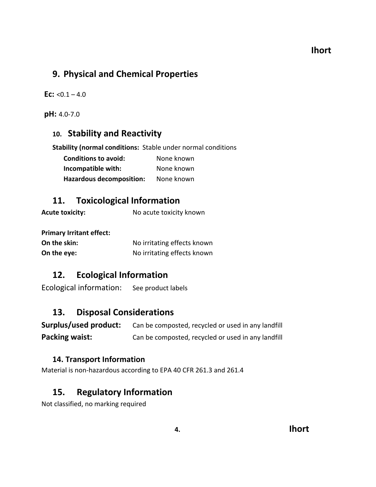### **9. Physical and Chemical Properties**

**Ec:**  $< 0.1 - 4.0$ 

**pH:** 4.0-7.0

#### **10. Stability and Reactivity**

**Stability (normal conditions:** Stable under normal conditions

| <b>Conditions to avoid:</b>     | None known |
|---------------------------------|------------|
| Incompatible with:              | None known |
| <b>Hazardous decomposition:</b> | None known |

#### **11. Toxicological Information**

**Acute toxicity:** No acute toxicity known

**Primary Irritant effect:**

| On the skin: | No irritating effects known |
|--------------|-----------------------------|
| On the eye:  | No irritating effects known |

### **12. Ecological Information**

Ecological information: See product labels

# **13. Disposal Considerations**

| Surplus/used product: | Can be composted, recycled or used in any landfill |
|-----------------------|----------------------------------------------------|
| Packing waist:        | Can be composted, recycled or used in any landfill |

#### **14. Transport Information**

Material is non-hazardous according to EPA 40 CFR 261.3 and 261.4

### **15. Regulatory Information**

Not classified, no marking required

### **4. Ihort**

#### **Ihort**